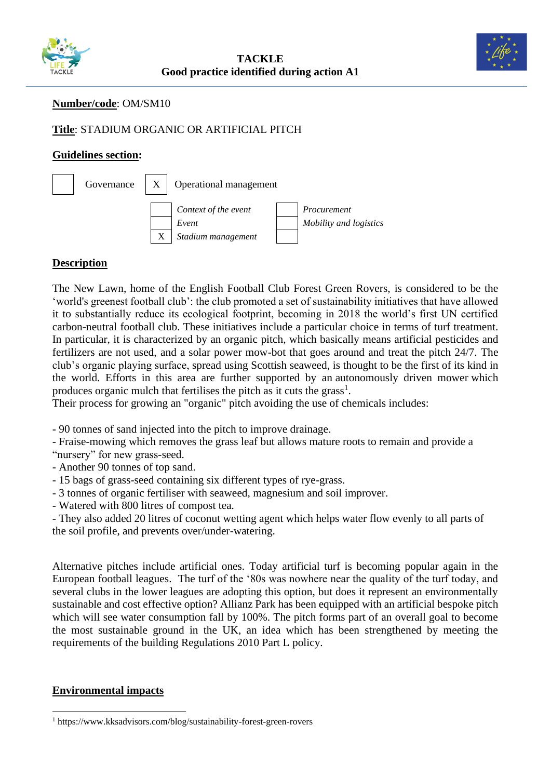



## **Number/code**: OM/SM10

# **Title**: STADIUM ORGANIC OR ARTIFICIAL PITCH

#### **Guidelines section:**



## **Description**

The New Lawn, home of the English Football Club Forest Green Rovers, is considered to be the 'world's greenest football club': the club promoted a set of sustainability initiatives that have allowed it to substantially reduce its ecological footprint, becoming in 2018 the world's first UN certified carbon-neutral football club. These initiatives include a particular choice in terms of turf treatment. In particular, it is characterized by an organic pitch, which basically means artificial pesticides and fertilizers are not used, and a solar power mow-bot that goes around and treat the pitch 24/7. The club's organic playing surface, [spread using Scottish seaweed,](http://www.bbc.co.uk/sport/football/36277085) is thought to be the first of its kind in the world. Efforts in this area are further supported by an [autonomously driven mower](https://www.theguardian.com/sustainable-business/2014/oct/02/sustainability-football-green-game-sport) which produces organic mulch that fertilises the pitch as it cuts the grass<sup>1</sup>.

Their process for growing an "organic" pitch avoiding the use of chemicals includes:

- 90 tonnes of sand injected into the pitch to improve drainage.
- Fraise-mowing which removes the grass leaf but allows mature roots to remain and provide a
- "nursery" for new grass-seed.
- Another 90 tonnes of top sand.
- 15 bags of grass-seed containing six different types of rye-grass.
- 3 tonnes of organic fertiliser with seaweed, magnesium and soil improver.
- Watered with 800 litres of compost tea.

- They also added 20 litres of coconut wetting agent which helps water flow evenly to all parts of the soil profile, and prevents over/under-watering.

Alternative pitches include artificial ones. Today artificial turf is becoming popular again in the European football leagues. The turf of the '80s was nowhere near the quality of the turf today, and several clubs in the lower leagues are adopting this option, but does it represent an environmentally sustainable and cost effective option? Allianz Park has been equipped with an artificial bespoke pitch which will see water consumption fall by 100%. The pitch forms part of an overall goal to become the most sustainable ground in the UK, an idea which has been strengthened by meeting the requirements of the building Regulations 2010 Part L policy.

#### **Environmental impacts**

<sup>1</sup> https://www.kksadvisors.com/blog/sustainability-forest-green-rovers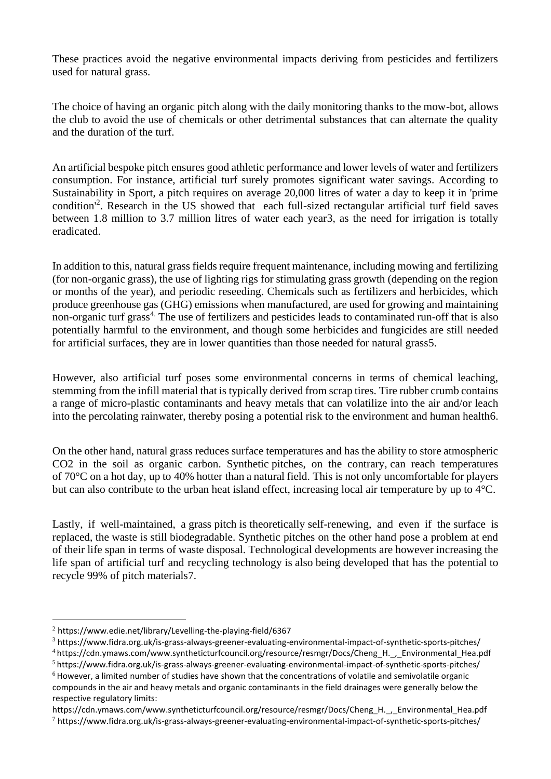These practices avoid the negative environmental impacts deriving from pesticides and fertilizers used for natural grass.

The choice of having an organic pitch along with the daily monitoring thanks to the mow-bot, allows the club to avoid the use of chemicals or other detrimental substances that can alternate the quality and the duration of the turf.

An artificial bespoke pitch ensures good athletic performance and lower levels of water and fertilizers consumption. For instance, artificial turf surely promotes significant water savings. According to Sustainability in Sport, a pitch requires on average 20,000 litres of water a day to keep it in 'prime condition<sup>2</sup>. Research in the US showed that each full-sized rectangular artificial turf field saves [between 1.8 million to 3.7 million litres of water each year3](https://www.fidra.org.uk/is-grass-always-greener-evaluating-environmental-impact-of-synthetic-sports-pitches/), as the need for irrigation is totally eradicated.

In addition to this, natural grass fields require frequent maintenance, including mowing and fertilizing (for non-organic grass), the use of lighting rigs for stimulating grass growth (depending on the region or months of the year), and periodic reseeding. Chemicals such as fertilizers and herbicides, which produce greenhouse gas (GHG) emissions when manufactured, are used for growing and maintaining non-organic turf grass<sup>4</sup>. The use of fertilizers and pesticides leads to contaminated run-off that is also potentially harmful to the environment, and though some herbicides and fungicides are still needed for artificial surfaces, they are in lower quantities than those needed for natural grass5.

However, also artificial turf poses some environmental concerns in terms of chemical leaching, stemming from the infill material that is typically derived from scrap tires. Tire rubber crumb contains a range of micro-plastic contaminants and heavy metals that can volatilize into the air and/or leach into the percolating rainwater, thereby posing a potential risk to the environment and human health6.

On the other hand, natural grass reduces surface temperatures and has the ability to store atmospheric CO2 in the soil as organic carbon. Synthetic pitches, on the contrary, can reach temperatures of [70°C](http://www.blonkconsultants.nl/wp-content/uploads/2016/06/English-brochure_plantum_carbon-footprint.pdf) on a hot day, up to [40% hotter](https://www.dsr.wa.gov.au/support-and-advice/facility-management/developing-facilities/synthetic-turf-decision) than a natural field. This is not only uncomfortable for players but can also contribute to the urban heat island effect, increasing local air temperature by [up to 4°C](https://journals.ametsoc.org/doi/full/10.1175/2009JAMC2198.1).

Lastly, if well-maintained, a grass pitch is theoretically [self-renewing,](https://www.dsr.wa.gov.au/support-and-advice/facility-management/developing-facilities/natural-grass-vs-synthetic-turf-study-report/life-cycle-cost-turf) and even if the surface is replaced, the waste is still biodegradable. Synthetic pitches on the other hand pose a problem at end of their life span in terms of waste disposal. Technological developments are however increasing the life span of artificial turf and recycling technology is also being developed that has the potential [to](https://re-match.dk/)  [recycle 99% of pitch materials7](https://re-match.dk/).

<sup>2</sup> <https://www.edie.net/library/Levelling-the-playing-field/6367>

<sup>3</sup> https://www.fidra.org.uk/is-grass-always-greener-evaluating-environmental-impact-of-synthetic-sports-pitches/

<sup>4</sup> https://cdn.ymaws.com/www.syntheticturfcouncil.org/resource/resmgr/Docs/Cheng\_H.\_,\_Environmental\_Hea.pdf

<sup>5</sup> https://www.fidra.org.uk/is-grass-always-greener-evaluating-environmental-impact-of-synthetic-sports-pitches/

 $6$  However, a limited number of studies have shown that the concentrations of volatile and semivolatile organic compounds in the air and heavy metals and organic contaminants in the field drainages were generally below the respective regulatory limits:

https://cdn.ymaws.com/www.syntheticturfcouncil.org/resource/resmgr/Docs/Cheng\_H.\_,\_Environmental\_Hea.pdf

<sup>7</sup> https://www.fidra.org.uk/is-grass-always-greener-evaluating-environmental-impact-of-synthetic-sports-pitches/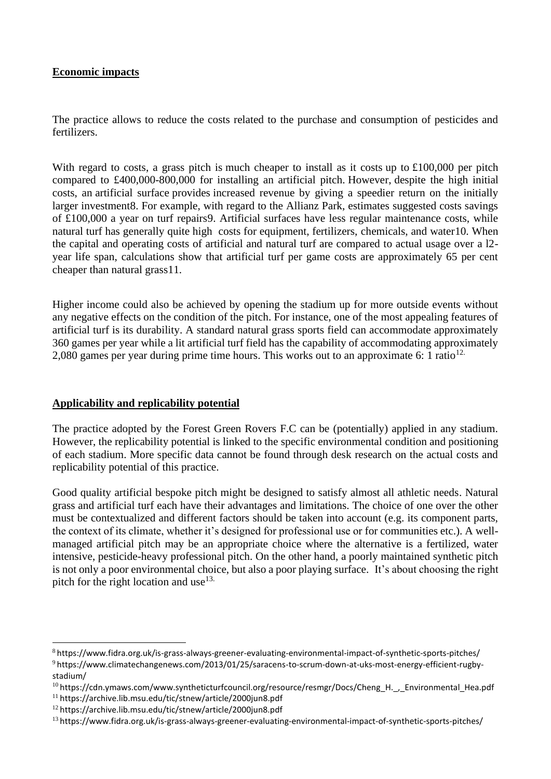## **Economic impacts**

The practice allows to reduce the costs related to the purchase and consumption of pesticides and fertilizers.

With regard to costs, a grass pitch is much cheaper to install as it costs up to £100,000 per pitch [compared to £400,000-800,000](https://www.sportengland.org/media/13346/facility-costs-q2-18.pdf) for installing an artificial pitch. However, despite the high initial costs, an artificial surface provides increased revenue by giving a speedier return on the initially larger investment8. For example, with regard to the Allianz Park, estimates suggested costs savings of £100,000 a year on turf repairs9. Artificial surfaces have less regular maintenance costs, while natural turf has generally quite high costs for equipment, fertilizers, chemicals, and water10. When the capital and operating costs of artificial and natural turf are compared to actual usage over a l2 year life span, calculations show that artificial turf per game costs are approximately 65 per cent cheaper than natural grass11.

Higher income could also be achieved by opening the stadium up for more outside events without any negative effects on the condition of the pitch. For instance, one of the most appealing features of artificial turf is its durability. A standard natural grass sports field can accommodate approximately 360 games per year while a lit artificial turf field has the capability of accommodating approximately 2,080 games per year during prime time hours. This works out to an approximate 6: 1 ratio<sup>12.</sup>

## **Applicability and replicability potential**

The practice adopted by the Forest Green Rovers F.C can be (potentially) applied in any stadium. However, the replicability potential is linked to the specific environmental condition and positioning of each stadium. More specific data cannot be found through desk research on the actual costs and replicability potential of this practice.

Good quality artificial bespoke pitch might be designed to satisfy almost all athletic needs. Natural grass and artificial turf each have their advantages and limitations. The choice of one over the other must be contextualized and different factors should be taken into account (e.g. its component parts, the context of its climate, whether it's designed for professional use or for communities etc.). A wellmanaged artificial pitch may be an appropriate choice where the alternative is a fertilized, water intensive, pesticide-heavy professional pitch. On the other hand, a poorly maintained synthetic pitch is not only a poor environmental choice, but also a poor playing surface. It's about choosing the right pitch for the right location and use  $13$ .

<sup>8</sup> https://www.fidra.org.uk/is-grass-always-greener-evaluating-environmental-impact-of-synthetic-sports-pitches/ <sup>9</sup> https://www.climatechangenews.com/2013/01/25/saracens-to-scrum-down-at-uks-most-energy-efficient-rugbystadium/

<sup>10</sup> https://cdn.ymaws.com/www.syntheticturfcouncil.org/resource/resmgr/Docs/Cheng\_H.\_,\_Environmental\_Hea.pdf

<sup>11</sup> https://archive.lib.msu.edu/tic/stnew/article/2000jun8.pdf

<sup>12</sup> https://archive.lib.msu.edu/tic/stnew/article/2000jun8.pdf

<sup>13</sup> https://www.fidra.org.uk/is-grass-always-greener-evaluating-environmental-impact-of-synthetic-sports-pitches/